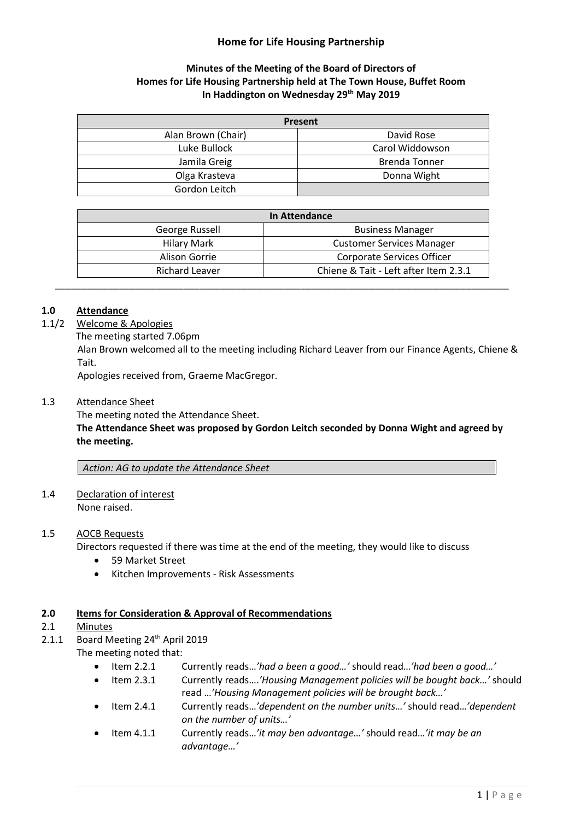# **Home for Life Housing Partnership**

# **Minutes of the Meeting of the Board of Directors of Homes for Life Housing Partnership held at The Town House, Buffet Room In Haddington on Wednesday 29 th May 2019**

| Present            |                      |
|--------------------|----------------------|
| Alan Brown (Chair) | David Rose           |
| Luke Bullock       | Carol Widdowson      |
| Jamila Greig       | <b>Brenda Tonner</b> |
| Olga Krasteva      | Donna Wight          |
| Gordon Leitch      |                      |

| In Attendance      |                                       |
|--------------------|---------------------------------------|
| George Russell     | <b>Business Manager</b>               |
| <b>Hilary Mark</b> | <b>Customer Services Manager</b>      |
| Alison Gorrie      | Corporate Services Officer            |
| Richard Leaver     | Chiene & Tait - Left after Item 2.3.1 |

### **1.0 Attendance**

- 1.1/2 Welcome & Apologies
	- The meeting started 7.06pm

Alan Brown welcomed all to the meeting including Richard Leaver from our Finance Agents, Chiene & Tait.

Apologies received from, Graeme MacGregor.

#### 1.3 Attendance Sheet

The meeting noted the Attendance Sheet.

**The Attendance Sheet was proposed by Gordon Leitch seconded by Donna Wight and agreed by the meeting.**

*Action: AG to update the Attendance Sheet*

1.4 Declaration of interest None raised.

#### 1.5 AOCB Requests

Directors requested if there was time at the end of the meeting, they would like to discuss

- 59 Market Street
- Kitchen Improvements Risk Assessments

#### **2.0 Items for Consideration & Approval of Recommendations**

- 2.1 Minutes
- 2.1.1 Board Meeting 24<sup>th</sup> April 2019

The meeting noted that:

- Item 2.2.1 Currently reads…*'had a been a good…'* should read…*'had been a good…'*
- Item 2.3.1 Currently reads….*'Housing Management policies will be bought back…'* should read …*'Housing Management policies will be brought back…'*
- Item 2.4.1 Currently reads…*'dependent on the number units…'* should read…*'dependent on the number of units…'*
- Item 4.1.1 Currently reads…*'it may ben advantage…'* should read…*'it may be an advantage…'*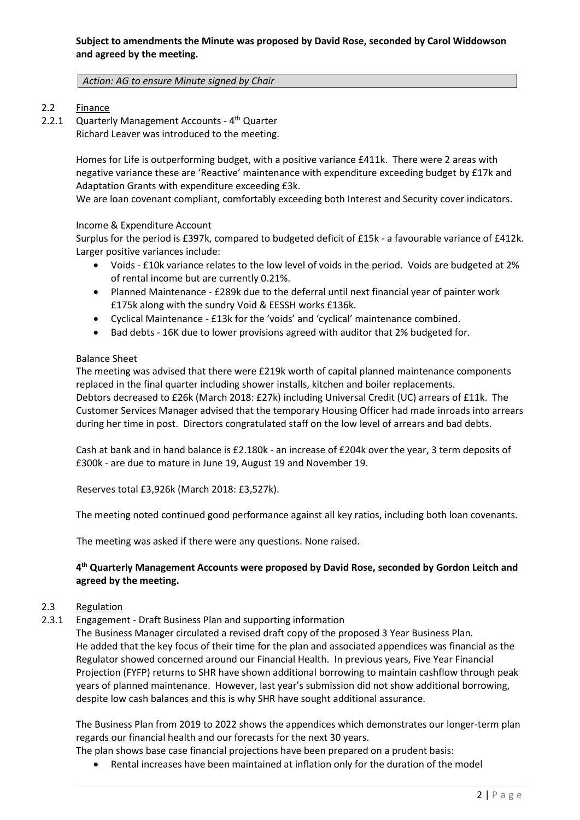### *Action: AG to ensure Minute signed by Chair*

# 2.2 Finance

2.2.1 Quarterly Management Accounts - 4<sup>th</sup> Quarter Richard Leaver was introduced to the meeting.

> Homes for Life is outperforming budget, with a positive variance £411k. There were 2 areas with negative variance these are 'Reactive' maintenance with expenditure exceeding budget by £17k and Adaptation Grants with expenditure exceeding £3k.

> We are loan covenant compliant, comfortably exceeding both Interest and Security cover indicators.

### Income & Expenditure Account

Surplus for the period is £397k, compared to budgeted deficit of £15k - a favourable variance of £412k. Larger positive variances include:

- Voids £10k variance relates to the low level of voids in the period. Voids are budgeted at 2% of rental income but are currently 0.21%.
- Planned Maintenance £289k due to the deferral until next financial year of painter work £175k along with the sundry Void & EESSH works £136k.
- Cyclical Maintenance £13k for the 'voids' and 'cyclical' maintenance combined.
- Bad debts 16K due to lower provisions agreed with auditor that 2% budgeted for.

### Balance Sheet

The meeting was advised that there were £219k worth of capital planned maintenance components replaced in the final quarter including shower installs, kitchen and boiler replacements. Debtors decreased to £26k (March 2018: £27k) including Universal Credit (UC) arrears of £11k. The Customer Services Manager advised that the temporary Housing Officer had made inroads into arrears during her time in post. Directors congratulated staff on the low level of arrears and bad debts.

Cash at bank and in hand balance is £2.180k - an increase of £204k over the year, 3 term deposits of £300k - are due to mature in June 19, August 19 and November 19.

Reserves total £3,926k (March 2018: £3,527k).

The meeting noted continued good performance against all key ratios, including both loan covenants.

The meeting was asked if there were any questions. None raised.

# **4 th Quarterly Management Accounts were proposed by David Rose, seconded by Gordon Leitch and agreed by the meeting.**

# 2.3 Regulation

2.3.1 Engagement - Draft Business Plan and supporting information

The Business Manager circulated a revised draft copy of the proposed 3 Year Business Plan. He added that the key focus of their time for the plan and associated appendices was financial as the Regulator showed concerned around our Financial Health. In previous years, Five Year Financial Projection (FYFP) returns to SHR have shown additional borrowing to maintain cashflow through peak years of planned maintenance. However, last year's submission did not show additional borrowing, despite low cash balances and this is why SHR have sought additional assurance.

The Business Plan from 2019 to 2022 shows the appendices which demonstrates our longer-term plan regards our financial health and our forecasts for the next 30 years.

The plan shows base case financial projections have been prepared on a prudent basis:

• Rental increases have been maintained at inflation only for the duration of the model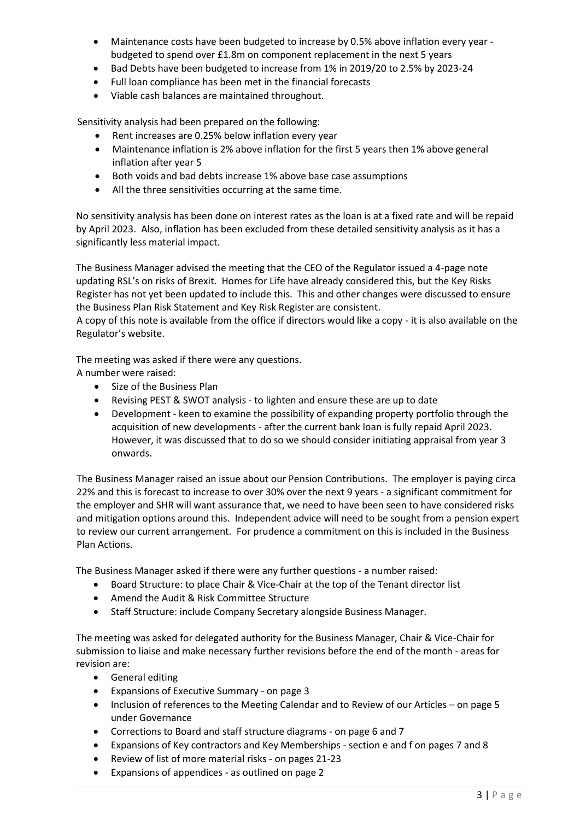- Maintenance costs have been budgeted to increase by 0.5% above inflation every year budgeted to spend over £1.8m on component replacement in the next 5 years
- Bad Debts have been budgeted to increase from 1% in 2019/20 to 2.5% by 2023-24
- Full loan compliance has been met in the financial forecasts
- Viable cash balances are maintained throughout.

Sensitivity analysis had been prepared on the following:

- Rent increases are 0.25% below inflation every year
- Maintenance inflation is 2% above inflation for the first 5 years then 1% above general inflation after year 5
- Both voids and bad debts increase 1% above base case assumptions
- All the three sensitivities occurring at the same time.

No sensitivity analysis has been done on interest rates as the loan is at a fixed rate and will be repaid by April 2023. Also, inflation has been excluded from these detailed sensitivity analysis as it has a significantly less material impact.

The Business Manager advised the meeting that the CEO of the Regulator issued a 4-page note updating RSL's on risks of Brexit. Homes for Life have already considered this, but the Key Risks Register has not yet been updated to include this. This and other changes were discussed to ensure the Business Plan Risk Statement and Key Risk Register are consistent.

A copy of this note is available from the office if directors would like a copy - it is also available on the Regulator's website.

The meeting was asked if there were any questions.

A number were raised:

- Size of the Business Plan
- Revising PEST & SWOT analysis to lighten and ensure these are up to date
- Development keen to examine the possibility of expanding property portfolio through the acquisition of new developments - after the current bank loan is fully repaid April 2023. However, it was discussed that to do so we should consider initiating appraisal from year 3 onwards.

The Business Manager raised an issue about our Pension Contributions. The employer is paying circa 22% and this is forecast to increase to over 30% over the next 9 years - a significant commitment for the employer and SHR will want assurance that, we need to have been seen to have considered risks and mitigation options around this. Independent advice will need to be sought from a pension expert to review our current arrangement. For prudence a commitment on this is included in the Business Plan Actions.

The Business Manager asked if there were any further questions - a number raised:

- Board Structure: to place Chair & Vice-Chair at the top of the Tenant director list
- Amend the Audit & Risk Committee Structure
- Staff Structure: include Company Secretary alongside Business Manager.

The meeting was asked for delegated authority for the Business Manager, Chair & Vice-Chair for submission to liaise and make necessary further revisions before the end of the month - areas for revision are:

- General editing
- Expansions of Executive Summary on page 3
- Inclusion of references to the Meeting Calendar and to Review of our Articles on page 5 under Governance
- Corrections to Board and staff structure diagrams on page 6 and 7
- Expansions of Key contractors and Key Memberships section e and f on pages 7 and 8
- Review of list of more material risks on pages 21-23
- Expansions of appendices as outlined on page 2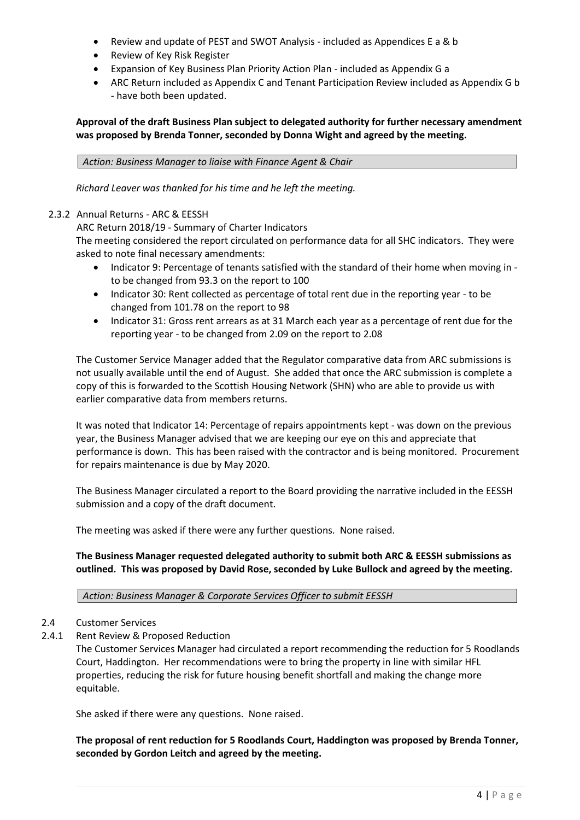- Review and update of PEST and SWOT Analysis included as Appendices E a & b
- Review of Key Risk Register
- Expansion of Key Business Plan Priority Action Plan included as Appendix G a
- ARC Return included as Appendix C and Tenant Participation Review included as Appendix G b - have both been updated.

# **Approval of the draft Business Plan subject to delegated authority for further necessary amendment was proposed by Brenda Tonner, seconded by Donna Wight and agreed by the meeting.**

*Action: Business Manager to liaise with Finance Agent & Chair*

*Richard Leaver was thanked for his time and he left the meeting.*

# 2.3.2 Annual Returns - ARC & EESSH

ARC Return 2018/19 - Summary of Charter Indicators

The meeting considered the report circulated on performance data for all SHC indicators. They were asked to note final necessary amendments:

- Indicator 9: Percentage of tenants satisfied with the standard of their home when moving in to be changed from 93.3 on the report to 100
- Indicator 30: Rent collected as percentage of total rent due in the reporting year to be changed from 101.78 on the report to 98
- Indicator 31: Gross rent arrears as at 31 March each year as a percentage of rent due for the reporting year - to be changed from 2.09 on the report to 2.08

The Customer Service Manager added that the Regulator comparative data from ARC submissions is not usually available until the end of August. She added that once the ARC submission is complete a copy of this is forwarded to the Scottish Housing Network (SHN) who are able to provide us with earlier comparative data from members returns.

It was noted that Indicator 14: Percentage of repairs appointments kept - was down on the previous year, the Business Manager advised that we are keeping our eye on this and appreciate that performance is down. This has been raised with the contractor and is being monitored. Procurement for repairs maintenance is due by May 2020.

The Business Manager circulated a report to the Board providing the narrative included in the EESSH submission and a copy of the draft document.

The meeting was asked if there were any further questions. None raised.

**The Business Manager requested delegated authority to submit both ARC & EESSH submissions as outlined. This was proposed by David Rose, seconded by Luke Bullock and agreed by the meeting.** 

*Action: Business Manager & Corporate Services Officer to submit EESSH*

# 2.4 Customer Services

2.4.1 Rent Review & Proposed Reduction

The Customer Services Manager had circulated a report recommending the reduction for 5 Roodlands Court, Haddington. Her recommendations were to bring the property in line with similar HFL properties, reducing the risk for future housing benefit shortfall and making the change more equitable.

She asked if there were any questions. None raised.

**The proposal of rent reduction for 5 Roodlands Court, Haddington was proposed by Brenda Tonner, seconded by Gordon Leitch and agreed by the meeting.**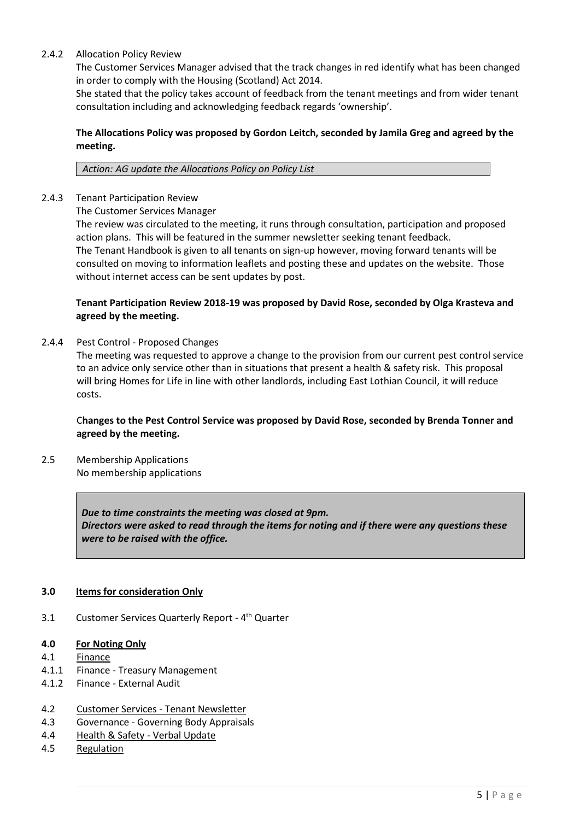### 2.4.2 Allocation Policy Review

The Customer Services Manager advised that the track changes in red identify what has been changed in order to comply with the Housing (Scotland) Act 2014.

She stated that the policy takes account of feedback from the tenant meetings and from wider tenant consultation including and acknowledging feedback regards 'ownership'.

### **The Allocations Policy was proposed by Gordon Leitch, seconded by Jamila Greg and agreed by the meeting.**

#### *Action: AG update the Allocations Policy on Policy List*

2.4.3 Tenant Participation Review

The Customer Services Manager

The review was circulated to the meeting, it runs through consultation, participation and proposed action plans. This will be featured in the summer newsletter seeking tenant feedback. The Tenant Handbook is given to all tenants on sign-up however, moving forward tenants will be consulted on moving to information leaflets and posting these and updates on the website. Those without internet access can be sent updates by post.

### **Tenant Participation Review 2018-19 was proposed by David Rose, seconded by Olga Krasteva and agreed by the meeting.**

2.4.4 Pest Control - Proposed Changes

The meeting was requested to approve a change to the provision from our current pest control service to an advice only service other than in situations that present a health & safety risk. This proposal will bring Homes for Life in line with other landlords, including East Lothian Council, it will reduce costs.

# C**hanges to the Pest Control Service was proposed by David Rose, seconded by Brenda Tonner and agreed by the meeting.**

2.5 Membership Applications No membership applications

> *Due to time constraints the meeting was closed at 9pm. Directors were asked to read through the items for noting and if there were any questions these were to be raised with the office.*

#### **3.0 Items for consideration Only**

3.1 Customer Services Quarterly Report - 4<sup>th</sup> Quarter

#### **4.0 For Noting Only**

- 4.1 Finance
- 4.1.1 Finance Treasury Management
- 4.1.2 Finance External Audit
- 4.2 Customer Services Tenant Newsletter
- 4.3 Governance Governing Body Appraisals
- 4.4 Health & Safety Verbal Update
- 4.5 Regulation